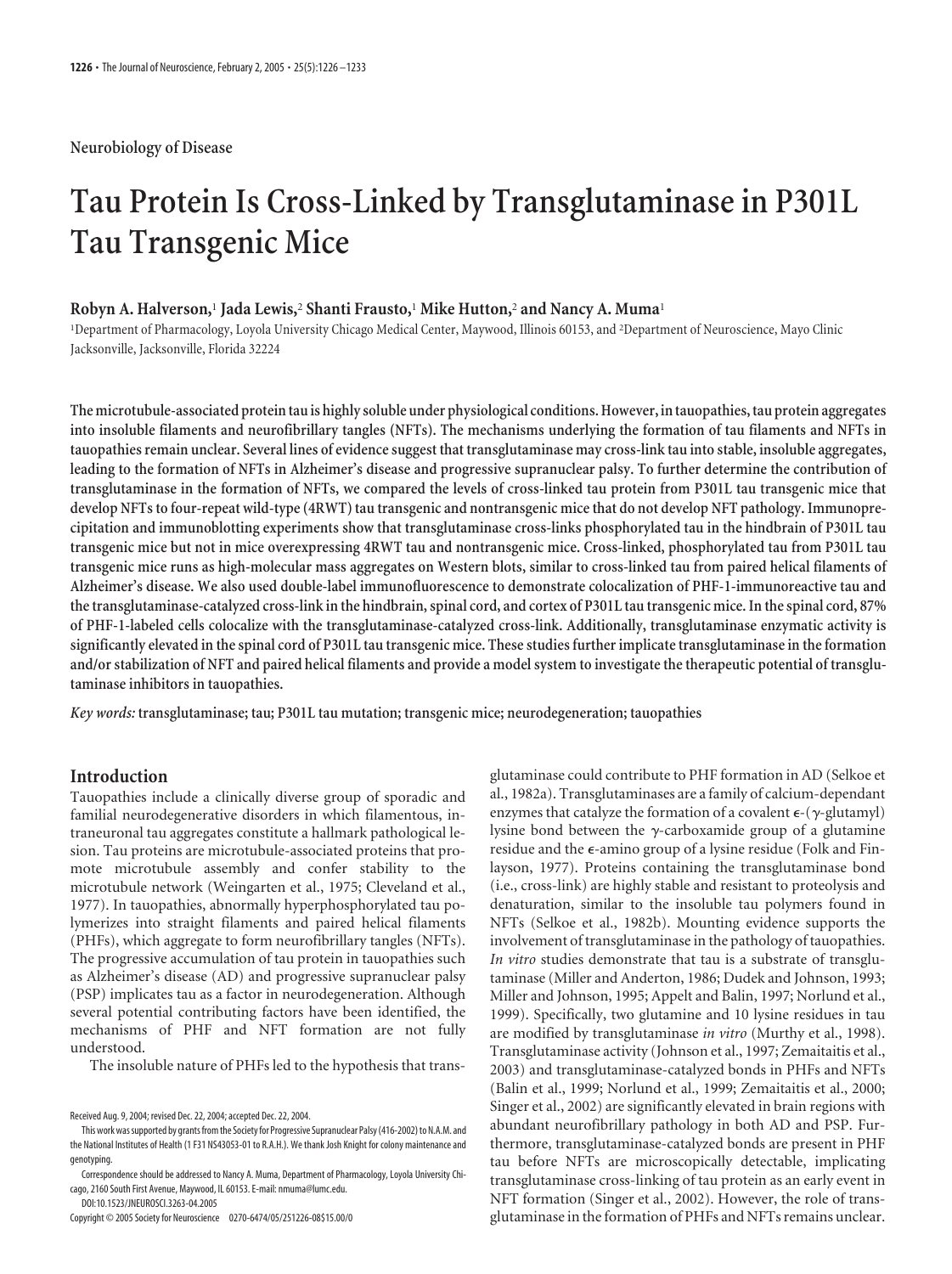## **Neurobiology of Disease**

# **Tau Protein Is Cross-Linked by Transglutaminase in P301L Tau Transgenic Mice**

## **Robyn A. Halverson,**<sup>1</sup> **Jada Lewis,**<sup>2</sup> **Shanti Frausto,**<sup>1</sup> **Mike Hutton,**<sup>2</sup> **and Nancy A. Muma**<sup>1</sup>

1 Department of Pharmacology, Loyola University Chicago Medical Center, Maywood, Illinois 60153, and <sup>2</sup> Department of Neuroscience, Mayo Clinic Jacksonville, Jacksonville, Florida 32224

**The microtubule-associated proteintau is highly soluble under physiological conditions. However, intauopathies,tau protein aggregates into insoluble filaments and neurofibrillary tangles (NFTs). The mechanisms underlying the formation of tau filaments and NFTs in tauopathies remain unclear. Several lines of evidence suggest that transglutaminase may cross-link tau into stable, insoluble aggregates, leading to the formation of NFTs in Alzheimer's disease and progressive supranuclear palsy. To further determine the contribution of transglutaminase in the formation of NFTs, we compared the levels of cross-linked tau protein from P301L tau transgenic mice that develop NFTs to four-repeat wild-type (4RWT) tau transgenic and nontransgenic mice that do not develop NFT pathology. Immunoprecipitation and immunoblotting experiments show that transglutaminase cross-links phosphorylated tau in the hindbrain of P301L tau transgenic mice but not in mice overexpressing 4RWT tau and nontransgenic mice. Cross-linked, phosphorylated tau from P301L tau transgenic mice runs as high-molecular mass aggregates on Western blots, similar to cross-linked tau from paired helical filaments of Alzheimer's disease. We also used double-label immunofluorescence to demonstrate colocalization of PHF-1-immunoreactive tau and the transglutaminase-catalyzed cross-link in the hindbrain, spinal cord, and cortex of P301L tau transgenic mice. In the spinal cord, 87% of PHF-1-labeled cells colocalize with the transglutaminase-catalyzed cross-link. Additionally, transglutaminase enzymatic activity is significantly elevated in the spinal cord of P301L tau transgenic mice. These studies further implicate transglutaminase in the formation and/or stabilization of NFT and paired helical filaments and provide a model system to investigate the therapeutic potential of transglutaminase inhibitors in tauopathies.**

*Key words:* **transglutaminase; tau; P301L tau mutation; transgenic mice; neurodegeneration; tauopathies**

## **Introduction**

Tauopathies include a clinically diverse group of sporadic and familial neurodegenerative disorders in which filamentous, intraneuronal tau aggregates constitute a hallmark pathological lesion. Tau proteins are microtubule-associated proteins that promote microtubule assembly and confer stability to the microtubule network (Weingarten et al., 1975; Cleveland et al., 1977). In tauopathies, abnormally hyperphosphorylated tau polymerizes into straight filaments and paired helical filaments (PHFs), which aggregate to form neurofibrillary tangles (NFTs). The progressive accumulation of tau protein in tauopathies such as Alzheimer's disease (AD) and progressive supranuclear palsy (PSP) implicates tau as a factor in neurodegeneration. Although several potential contributing factors have been identified, the mechanisms of PHF and NFT formation are not fully understood.

The insoluble nature of PHFs led to the hypothesis that trans-

DOI:10.1523/JNEUROSCI.3263-04.2005

glutaminase could contribute to PHF formation in AD (Selkoe et al., 1982a). Transglutaminases are a family of calcium-dependant enzymes that catalyze the formation of a covalent  $\epsilon$ - $(\gamma$ -glutamyl) lysine bond between the  $\gamma$ -carboxamide group of a glutamine residue and the  $\epsilon$ -amino group of a lysine residue (Folk and Finlayson, 1977). Proteins containing the transglutaminase bond (i.e., cross-link) are highly stable and resistant to proteolysis and denaturation, similar to the insoluble tau polymers found in NFTs (Selkoe et al., 1982b). Mounting evidence supports the involvement of transglutaminase in the pathology of tauopathies. *In vitro* studies demonstrate that tau is a substrate of transglutaminase (Miller and Anderton, 1986; Dudek and Johnson, 1993; Miller and Johnson, 1995; Appelt and Balin, 1997; Norlund et al., 1999). Specifically, two glutamine and 10 lysine residues in tau are modified by transglutaminase *in vitro* (Murthy et al., 1998). Transglutaminase activity (Johnson et al., 1997; Zemaitaitis et al., 2003) and transglutaminase-catalyzed bonds in PHFs and NFTs (Balin et al., 1999; Norlund et al., 1999; Zemaitaitis et al., 2000; Singer et al., 2002) are significantly elevated in brain regions with abundant neurofibrillary pathology in both AD and PSP. Furthermore, transglutaminase-catalyzed bonds are present in PHF tau before NFTs are microscopically detectable, implicating transglutaminase cross-linking of tau protein as an early event in NFT formation (Singer et al., 2002). However, the role of transglutaminase in the formation of PHFs and NFTs remains unclear.

Received Aug. 9, 2004; revised Dec. 22, 2004; accepted Dec. 22, 2004.

This work was supported by grants from the Society for Progressive Supranuclear Palsy (416-2002) to N.A.M. and the National Institutes of Health (1 F31 NS43053-01 to R.A.H.). We thank Josh Knight for colony maintenance and genotyping.

Correspondence should be addressed to Nancy A. Muma, Department of Pharmacology, Loyola University Chicago, 2160 South First Avenue, Maywood, IL 60153. E-mail: nmuma@lumc.edu.

Copyright © 2005 Society for Neuroscience 0270-6474/05/251226-08\$15.00/0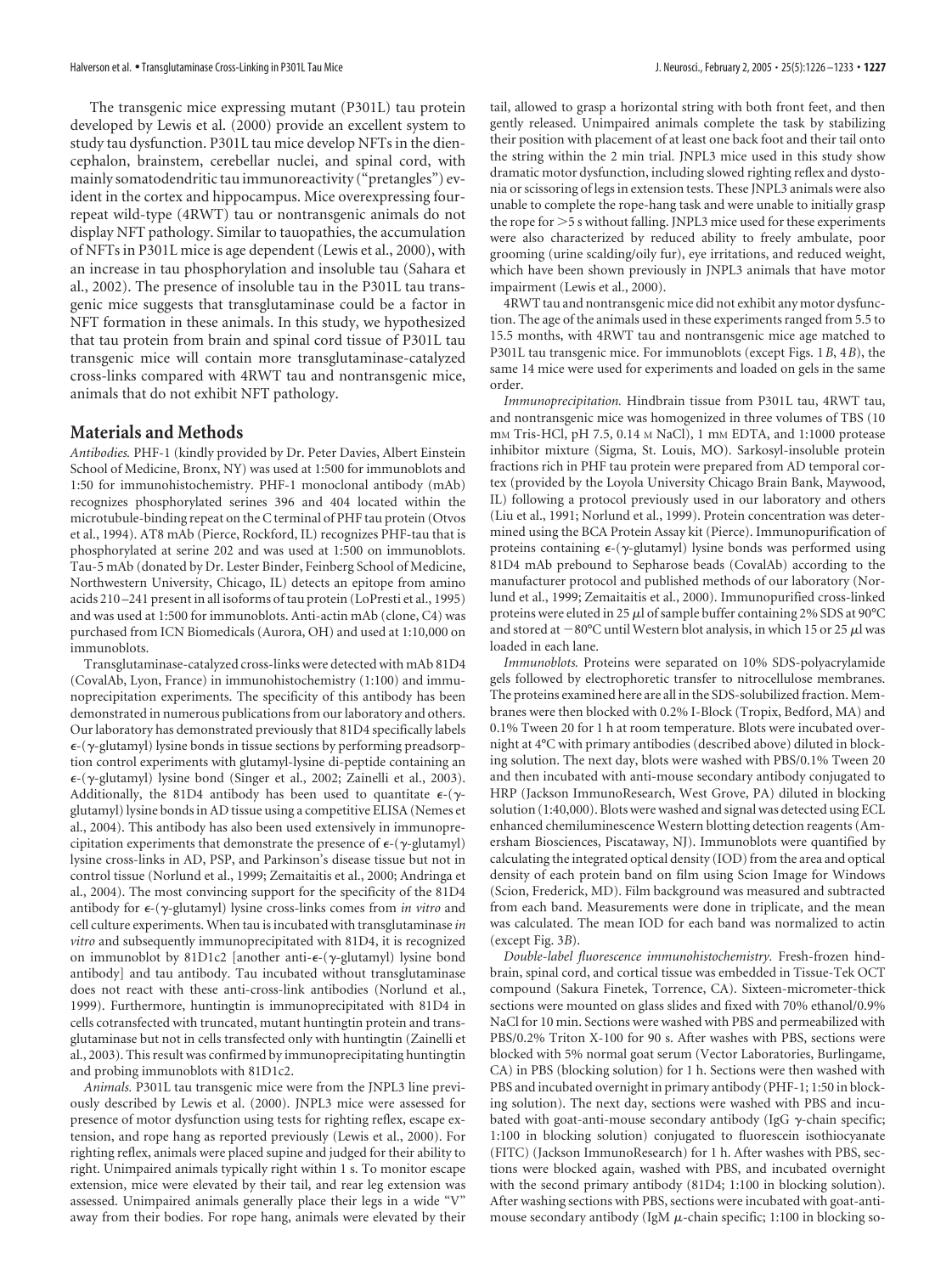The transgenic mice expressing mutant (P301L) tau protein developed by Lewis et al. (2000) provide an excellent system to study tau dysfunction. P301L tau mice develop NFTs in the diencephalon, brainstem, cerebellar nuclei, and spinal cord, with mainly somatodendritic tau immunoreactivity ("pretangles") evident in the cortex and hippocampus. Mice overexpressing fourrepeat wild-type (4RWT) tau or nontransgenic animals do not display NFT pathology. Similar to tauopathies, the accumulation of NFTs in P301L mice is age dependent (Lewis et al., 2000), with an increase in tau phosphorylation and insoluble tau (Sahara et al., 2002). The presence of insoluble tau in the P301L tau transgenic mice suggests that transglutaminase could be a factor in NFT formation in these animals. In this study, we hypothesized that tau protein from brain and spinal cord tissue of P301L tau transgenic mice will contain more transglutaminase-catalyzed cross-links compared with 4RWT tau and nontransgenic mice, animals that do not exhibit NFT pathology.

## **Materials and Methods**

*Antibodies.* PHF-1 (kindly provided by Dr. Peter Davies, Albert Einstein School of Medicine, Bronx, NY) was used at 1:500 for immunoblots and 1:50 for immunohistochemistry. PHF-1 monoclonal antibody (mAb) recognizes phosphorylated serines 396 and 404 located within the microtubule-binding repeat on the C terminal of PHF tau protein (Otvos et al., 1994). AT8 mAb (Pierce, Rockford, IL) recognizes PHF-tau that is phosphorylated at serine 202 and was used at 1:500 on immunoblots. Tau-5 mAb (donated by Dr. Lester Binder, Feinberg School of Medicine, Northwestern University, Chicago, IL) detects an epitope from amino acids 210 –241 present in all isoforms of tau protein (LoPresti et al., 1995) and was used at 1:500 for immunoblots. Anti-actin mAb (clone, C4) was purchased from ICN Biomedicals (Aurora, OH) and used at 1:10,000 on immunoblots.

Transglutaminase-catalyzed cross-links were detected with mAb 81D4 (CovalAb, Lyon, France) in immunohistochemistry (1:100) and immunoprecipitation experiments. The specificity of this antibody has been demonstrated in numerous publications from our laboratory and others. Our laboratory has demonstrated previously that 81D4 specifically labels  $\epsilon$ -( $\gamma$ -glutamyl) lysine bonds in tissue sections by performing preadsorption control experiments with glutamyl-lysine di-peptide containing an  $\epsilon$ -( $\gamma$ -glutamyl) lysine bond (Singer et al., 2002; Zainelli et al., 2003). Additionally, the 81D4 antibody has been used to quantitate  $\epsilon$ -( $\gamma$ glutamyl) lysine bonds in AD tissue using a competitive ELISA (Nemes et al., 2004). This antibody has also been used extensively in immunoprecipitation experiments that demonstrate the presence of  $\epsilon$ -( $\gamma$ -glutamyl) lysine cross-links in AD, PSP, and Parkinson's disease tissue but not in control tissue (Norlund et al., 1999; Zemaitaitis et al., 2000; Andringa et al., 2004). The most convincing support for the specificity of the 81D4 antibody for  $\epsilon$ -(y-glutamyl) lysine cross-links comes from *in vitro* and cell culture experiments. When tau is incubated with transglutaminase *in vitro* and subsequently immunoprecipitated with 81D4, it is recognized on immunoblot by 81D1c2 [another anti-ε-(γ-glutamyl) lysine bond antibody] and tau antibody. Tau incubated without transglutaminase does not react with these anti-cross-link antibodies (Norlund et al., 1999). Furthermore, huntingtin is immunoprecipitated with 81D4 in cells cotransfected with truncated, mutant huntingtin protein and transglutaminase but not in cells transfected only with huntingtin (Zainelli et al., 2003). This result was confirmed by immunoprecipitating huntingtin and probing immunoblots with 81D1c2.

*Animals.* P301L tau transgenic mice were from the JNPL3 line previously described by Lewis et al. (2000). JNPL3 mice were assessed for presence of motor dysfunction using tests for righting reflex, escape extension, and rope hang as reported previously (Lewis et al., 2000). For righting reflex, animals were placed supine and judged for their ability to right. Unimpaired animals typically right within 1 s. To monitor escape extension, mice were elevated by their tail, and rear leg extension was assessed. Unimpaired animals generally place their legs in a wide "V" away from their bodies. For rope hang, animals were elevated by their tail, allowed to grasp a horizontal string with both front feet, and then gently released. Unimpaired animals complete the task by stabilizing their position with placement of at least one back foot and their tail onto the string within the 2 min trial. JNPL3 mice used in this study show dramatic motor dysfunction, including slowed righting reflex and dystonia or scissoring of legs in extension tests. These JNPL3 animals were also unable to complete the rope-hang task and were unable to initially grasp the rope for  $>$  5 s without falling. JNPL3 mice used for these experiments were also characterized by reduced ability to freely ambulate, poor grooming (urine scalding/oily fur), eye irritations, and reduced weight, which have been shown previously in JNPL3 animals that have motor impairment (Lewis et al., 2000).

4RWT tau and nontransgenic mice did not exhibit any motor dysfunction. The age of the animals used in these experiments ranged from 5.5 to 15.5 months, with 4RWT tau and nontransgenic mice age matched to P301L tau transgenic mice. For immunoblots (except Figs. 1*B*, 4*B*), the same 14 mice were used for experiments and loaded on gels in the same order.

*Immunoprecipitation.* Hindbrain tissue from P301L tau, 4RWT tau, and nontransgenic mice was homogenized in three volumes of TBS (10 mm Tris-HCl, pH 7.5, 0.14 m NaCl), 1 mm EDTA, and 1:1000 protease inhibitor mixture (Sigma, St. Louis, MO). Sarkosyl-insoluble protein fractions rich in PHF tau protein were prepared from AD temporal cortex (provided by the Loyola University Chicago Brain Bank, Maywood, IL) following a protocol previously used in our laboratory and others (Liu et al., 1991; Norlund et al., 1999). Protein concentration was determined using the BCA Protein Assay kit (Pierce). Immunopurification of proteins containing  $\epsilon$ -( $\gamma$ -glutamyl) lysine bonds was performed using 81D4 mAb prebound to Sepharose beads (CovalAb) according to the manufacturer protocol and published methods of our laboratory (Norlund et al., 1999; Zemaitaitis et al., 2000). Immunopurified cross-linked proteins were eluted in 25  $\mu$ l of sample buffer containing 2% SDS at 90°C and stored at  $-80^{\circ}\mathrm{C}$  until Western blot analysis, in which 15 or 25  $\mu$ l was loaded in each lane.

*Immunoblots.* Proteins were separated on 10% SDS-polyacrylamide gels followed by electrophoretic transfer to nitrocellulose membranes. The proteins examined here are all in the SDS-solubilized fraction. Membranes were then blocked with 0.2% I-Block (Tropix, Bedford, MA) and 0.1% Tween 20 for 1 h at room temperature. Blots were incubated overnight at 4°C with primary antibodies (described above) diluted in blocking solution. The next day, blots were washed with PBS/0.1% Tween 20 and then incubated with anti-mouse secondary antibody conjugated to HRP (Jackson ImmunoResearch, West Grove, PA) diluted in blocking solution (1:40,000). Blots were washed and signal was detected using ECL enhanced chemiluminescence Western blotting detection reagents (Amersham Biosciences, Piscataway, NJ). Immunoblots were quantified by calculating the integrated optical density (IOD) from the area and optical density of each protein band on film using Scion Image for Windows (Scion, Frederick, MD). Film background was measured and subtracted from each band. Measurements were done in triplicate, and the mean was calculated. The mean IOD for each band was normalized to actin (except Fig. 3*B*).

*Double-label fluorescence immunohistochemistry.* Fresh-frozen hindbrain, spinal cord, and cortical tissue was embedded in Tissue-Tek OCT compound (Sakura Finetek, Torrence, CA). Sixteen-micrometer-thick sections were mounted on glass slides and fixed with 70% ethanol/0.9% NaCl for 10 min. Sections were washed with PBS and permeabilized with PBS/0.2% Triton X-100 for 90 s. After washes with PBS, sections were blocked with 5% normal goat serum (Vector Laboratories, Burlingame, CA) in PBS (blocking solution) for 1 h. Sections were then washed with PBS and incubated overnight in primary antibody (PHF-1; 1:50 in blocking solution). The next day, sections were washed with PBS and incubated with goat-anti-mouse secondary antibody (IgG  $\gamma$ -chain specific; 1:100 in blocking solution) conjugated to fluorescein isothiocyanate (FITC) (Jackson ImmunoResearch) for 1 h. After washes with PBS, sections were blocked again, washed with PBS, and incubated overnight with the second primary antibody (81D4; 1:100 in blocking solution). After washing sections with PBS, sections were incubated with goat-antimouse secondary antibody (IgM  $\mu$ -chain specific; 1:100 in blocking so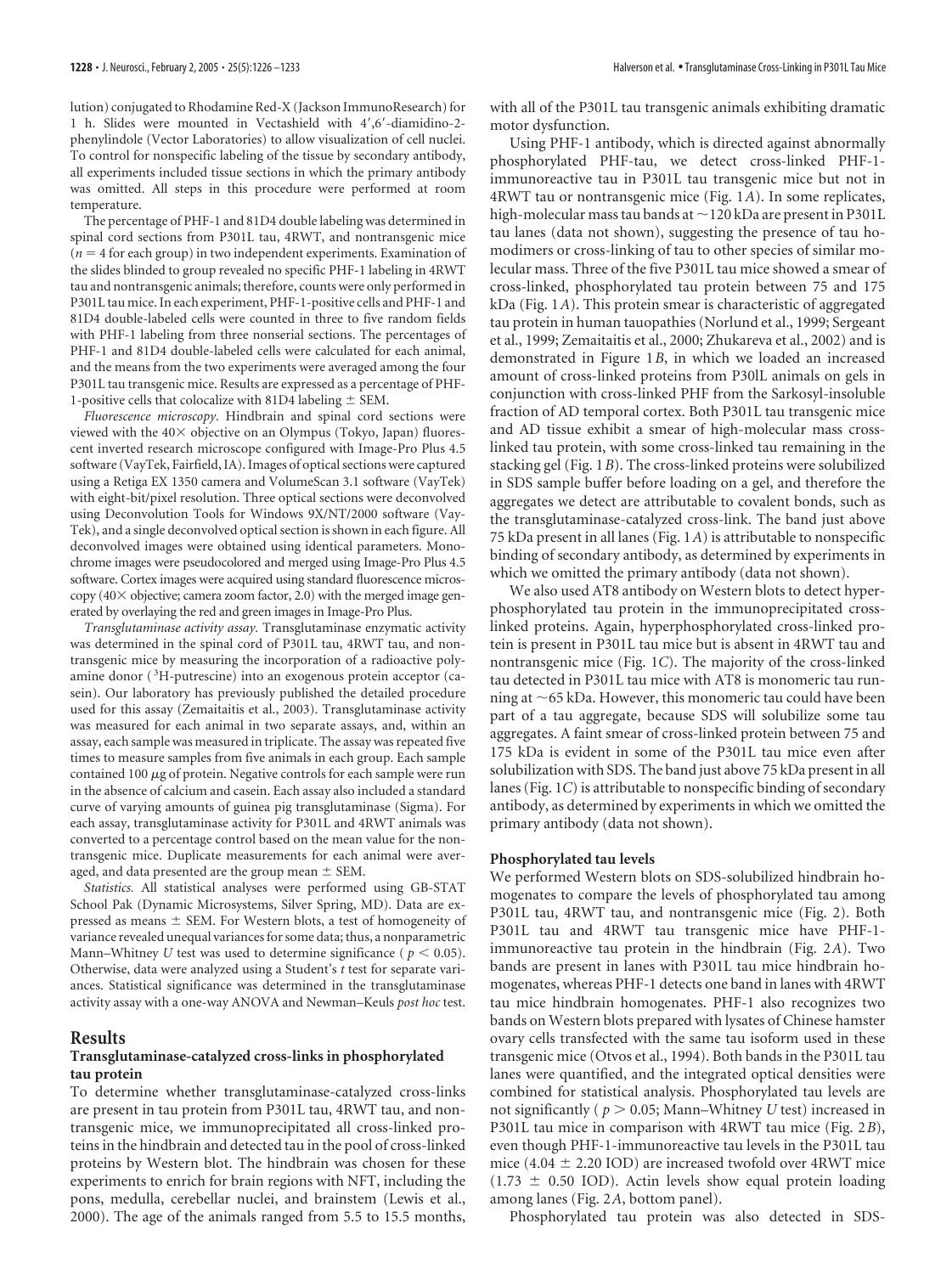lution) conjugated to Rhodamine Red-X (Jackson ImmunoResearch) for 1 h. Slides were mounted in Vectashield with 4',6'-diamidino-2phenylindole (Vector Laboratories) to allow visualization of cell nuclei. To control for nonspecific labeling of the tissue by secondary antibody, all experiments included tissue sections in which the primary antibody was omitted. All steps in this procedure were performed at room temperature.

The percentage of PHF-1 and 81D4 double labeling was determined in spinal cord sections from P301L tau, 4RWT, and nontransgenic mice  $(n = 4$  for each group) in two independent experiments. Examination of the slides blinded to group revealed no specific PHF-1 labeling in 4RWT tau and nontransgenic animals; therefore, counts were only performed in P301L tau mice. In each experiment, PHF-1-positive cells and PHF-1 and 81D4 double-labeled cells were counted in three to five random fields with PHF-1 labeling from three nonserial sections. The percentages of PHF-1 and 81D4 double-labeled cells were calculated for each animal, and the means from the two experiments were averaged among the four P301L tau transgenic mice. Results are expressed as a percentage of PHF-1-positive cells that colocalize with 81D4 labeling  $\pm$  SEM.

*Fluorescence microscopy.* Hindbrain and spinal cord sections were viewed with the  $40\times$  objective on an Olympus (Tokyo, Japan) fluorescent inverted research microscope configured with Image-Pro Plus 4.5 software (VayTek, Fairfield, IA). Images of optical sections were captured using a Retiga EX 1350 camera and VolumeScan 3.1 software (VayTek) with eight-bit/pixel resolution. Three optical sections were deconvolved using Deconvolution Tools for Windows 9X/NT/2000 software (Vay-Tek), and a single deconvolved optical section is shown in each figure. All deconvolved images were obtained using identical parameters. Monochrome images were pseudocolored and merged using Image-Pro Plus 4.5 software. Cortex images were acquired using standard fluorescence microscopy ( $40\times$  objective; camera zoom factor, 2.0) with the merged image generated by overlaying the red and green images in Image-Pro Plus.

*Transglutaminase activity assay.* Transglutaminase enzymatic activity was determined in the spinal cord of P301L tau, 4RWT tau, and nontransgenic mice by measuring the incorporation of a radioactive polyamine donor (<sup>3</sup>H-putrescine) into an exogenous protein acceptor (casein). Our laboratory has previously published the detailed procedure used for this assay (Zemaitaitis et al., 2003). Transglutaminase activity was measured for each animal in two separate assays, and, within an assay, each sample was measured in triplicate. The assay was repeated five times to measure samples from five animals in each group. Each sample contained 100  $\mu$ g of protein. Negative controls for each sample were run in the absence of calcium and casein. Each assay also included a standard curve of varying amounts of guinea pig transglutaminase (Sigma). For each assay, transglutaminase activity for P301L and 4RWT animals was converted to a percentage control based on the mean value for the nontransgenic mice. Duplicate measurements for each animal were averaged, and data presented are the group mean  $\pm$  SEM.

*Statistics.* All statistical analyses were performed using GB-STAT School Pak (Dynamic Microsystems, Silver Spring, MD). Data are expressed as means  $\pm$  SEM. For Western blots, a test of homogeneity of variance revealed unequal variances for some data; thus, a nonparametric Mann–Whitney *U* test was used to determine significance ( $p < 0.05$ ). Otherwise, data were analyzed using a Student's *t* test for separate variances. Statistical significance was determined in the transglutaminase activity assay with a one-way ANOVA and Newman–Keuls *post hoc* test.

#### **Results**

#### **Transglutaminase-catalyzed cross-links in phosphorylated tau protein**

To determine whether transglutaminase-catalyzed cross-links are present in tau protein from P301L tau, 4RWT tau, and nontransgenic mice, we immunoprecipitated all cross-linked proteins in the hindbrain and detected tau in the pool of cross-linked proteins by Western blot. The hindbrain was chosen for these experiments to enrich for brain regions with NFT, including the pons, medulla, cerebellar nuclei, and brainstem (Lewis et al., 2000). The age of the animals ranged from 5.5 to 15.5 months,

with all of the P301L tau transgenic animals exhibiting dramatic motor dysfunction.

Using PHF-1 antibody, which is directed against abnormally phosphorylated PHF-tau, we detect cross-linked PHF-1 immunoreactive tau in P301L tau transgenic mice but not in 4RWT tau or nontransgenic mice (Fig. 1*A*). In some replicates, high-molecular mass tau bands at  $\sim$  120 kDa are present in P301L tau lanes (data not shown), suggesting the presence of tau homodimers or cross-linking of tau to other species of similar molecular mass. Three of the five P301L tau mice showed a smear of cross-linked, phosphorylated tau protein between 75 and 175 kDa (Fig. 1*A*). This protein smear is characteristic of aggregated tau protein in human tauopathies (Norlund et al., 1999; Sergeant et al., 1999; Zemaitaitis et al., 2000; Zhukareva et al., 2002) and is demonstrated in Figure 1*B*, in which we loaded an increased amount of cross-linked proteins from P30lL animals on gels in conjunction with cross-linked PHF from the Sarkosyl-insoluble fraction of AD temporal cortex. Both P301L tau transgenic mice and AD tissue exhibit a smear of high-molecular mass crosslinked tau protein, with some cross-linked tau remaining in the stacking gel (Fig. 1*B*). The cross-linked proteins were solubilized in SDS sample buffer before loading on a gel, and therefore the aggregates we detect are attributable to covalent bonds, such as the transglutaminase-catalyzed cross-link. The band just above 75 kDa present in all lanes (Fig. 1*A*) is attributable to nonspecific binding of secondary antibody, as determined by experiments in which we omitted the primary antibody (data not shown).

We also used AT8 antibody on Western blots to detect hyperphosphorylated tau protein in the immunoprecipitated crosslinked proteins. Again, hyperphosphorylated cross-linked protein is present in P301L tau mice but is absent in 4RWT tau and nontransgenic mice (Fig. 1*C*). The majority of the cross-linked tau detected in P301L tau mice with AT8 is monomeric tau running at  $\sim$  65 kDa. However, this monomeric tau could have been part of a tau aggregate, because SDS will solubilize some tau aggregates. A faint smear of cross-linked protein between 75 and 175 kDa is evident in some of the P301L tau mice even after solubilization with SDS. The band just above 75 kDa present in all lanes (Fig. 1*C*) is attributable to nonspecific binding of secondary antibody, as determined by experiments in which we omitted the primary antibody (data not shown).

#### **Phosphorylated tau levels**

We performed Western blots on SDS-solubilized hindbrain homogenates to compare the levels of phosphorylated tau among P301L tau, 4RWT tau, and nontransgenic mice (Fig. 2). Both P301L tau and 4RWT tau transgenic mice have PHF-1 immunoreactive tau protein in the hindbrain (Fig. 2*A*). Two bands are present in lanes with P301L tau mice hindbrain homogenates, whereas PHF-1 detects one band in lanes with 4RWT tau mice hindbrain homogenates. PHF-1 also recognizes two bands on Western blots prepared with lysates of Chinese hamster ovary cells transfected with the same tau isoform used in these transgenic mice (Otvos et al., 1994). Both bands in the P301L tau lanes were quantified, and the integrated optical densities were combined for statistical analysis. Phosphorylated tau levels are not significantly ( $p > 0.05$ ; Mann–Whitney *U* test) increased in P301L tau mice in comparison with 4RWT tau mice (Fig. 2*B*), even though PHF-1-immunoreactive tau levels in the P301L tau mice (4.04  $\pm$  2.20 IOD) are increased twofold over 4RWT mice  $(1.73 \pm 0.50 \text{ IOD})$ . Actin levels show equal protein loading among lanes (Fig. 2*A*, bottom panel).

Phosphorylated tau protein was also detected in SDS-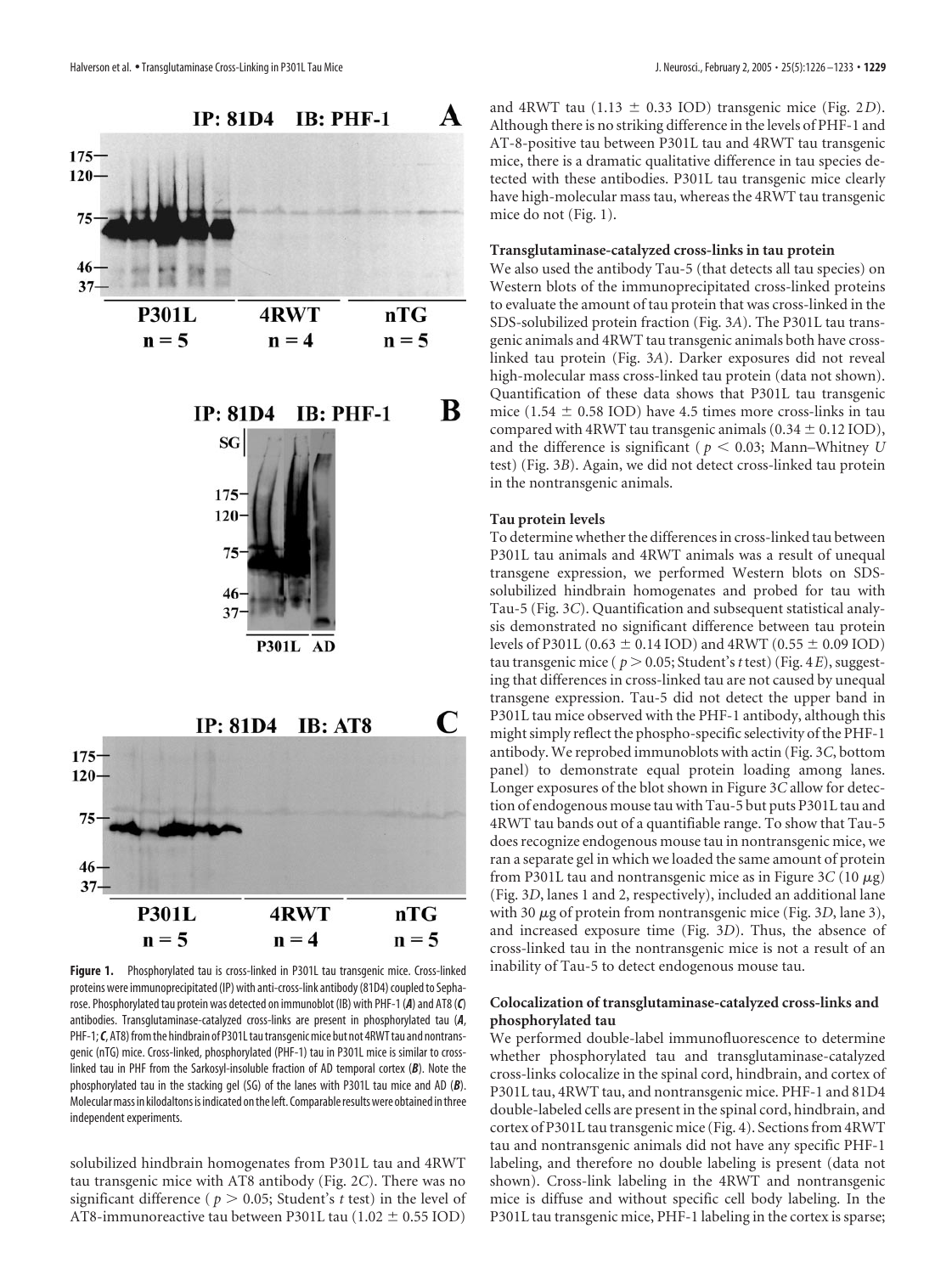



Figure 1. Phosphorylated tau is cross-linked in P301L tau transgenic mice. Cross-linked proteins were immunoprecipitated (IP) with anti-cross-link antibody (81D4) coupled to Sepharose. Phosphorylated tau protein was detected on immunoblot (IB) with PHF-1 (*A*) and AT8 (*C*) antibodies. Transglutaminase-catalyzed cross-links are present in phosphorylated tau (*A*, PHF-1; *C*, AT8) from the hindbrain of P301L tau transgenic mice but not 4RWT tau and nontransgenic (nTG) mice. Cross-linked, phosphorylated (PHF-1) tau in P301L mice is similar to crosslinked tau in PHF from the Sarkosyl-insoluble fraction of AD temporal cortex (*B*). Note the phosphorylated tau in the stacking gel (SG) of the lanes with P301L tau mice and AD (*B*). Molecularmass in kilodaltons is indicated onthe left. Comparableresultswere obtained inthree independent experiments.

solubilized hindbrain homogenates from P301L tau and 4RWT tau transgenic mice with AT8 antibody (Fig. 2*C*). There was no significant difference ( $p > 0.05$ ; Student's *t* test) in the level of AT8-immunoreactive tau between P301L tau  $(1.02 \pm 0.55 \text{ IOD})$ 

and 4RWT tau  $(1.13 \pm 0.33 \text{ IOD})$  transgenic mice (Fig. 2*D*). Although there is no striking difference in the levels of PHF-1 and AT-8-positive tau between P301L tau and 4RWT tau transgenic mice, there is a dramatic qualitative difference in tau species detected with these antibodies. P301L tau transgenic mice clearly have high-molecular mass tau, whereas the 4RWT tau transgenic mice do not (Fig. 1).

#### **Transglutaminase-catalyzed cross-links in tau protein**

We also used the antibody Tau-5 (that detects all tau species) on Western blots of the immunoprecipitated cross-linked proteins to evaluate the amount of tau protein that was cross-linked in the SDS-solubilized protein fraction (Fig. 3*A*). The P301L tau transgenic animals and 4RWT tau transgenic animals both have crosslinked tau protein (Fig. 3*A*). Darker exposures did not reveal high-molecular mass cross-linked tau protein (data not shown). Quantification of these data shows that P301L tau transgenic mice (1.54  $\pm$  0.58 IOD) have 4.5 times more cross-links in tau compared with 4RWT tau transgenic animals  $(0.34 \pm 0.12 \text{ IOD})$ , and the difference is significant ( $p < 0.03$ ; Mann–Whitney *U* test) (Fig. 3*B*). Again, we did not detect cross-linked tau protein in the nontransgenic animals.

## **Tau protein levels**

To determine whether the differences in cross-linked tau between P301L tau animals and 4RWT animals was a result of unequal transgene expression, we performed Western blots on SDSsolubilized hindbrain homogenates and probed for tau with Tau-5 (Fig. 3*C*). Quantification and subsequent statistical analysis demonstrated no significant difference between tau protein levels of P301L (0.63  $\pm$  0.14 IOD) and 4RWT (0.55  $\pm$  0.09 IOD) tau transgenic mice ( $p > 0.05$ ; Student's *t* test) (Fig. 4*E*), suggesting that differences in cross-linked tau are not caused by unequal transgene expression. Tau-5 did not detect the upper band in P301L tau mice observed with the PHF-1 antibody, although this might simply reflect the phospho-specific selectivity of the PHF-1 antibody. We reprobed immunoblots with actin (Fig. 3*C*, bottom panel) to demonstrate equal protein loading among lanes. Longer exposures of the blot shown in Figure 3*C* allow for detection of endogenous mouse tau with Tau-5 but puts P301L tau and 4RWT tau bands out of a quantifiable range. To show that Tau-5 does recognize endogenous mouse tau in nontransgenic mice, we ran a separate gel in which we loaded the same amount of protein from P301L tau and nontransgenic mice as in Figure  $3C(10 \mu g)$ (Fig. 3*D*, lanes 1 and 2, respectively), included an additional lane with 30 μg of protein from nontransgenic mice (Fig. 3*D*, lane 3), and increased exposure time (Fig. 3*D*). Thus, the absence of cross-linked tau in the nontransgenic mice is not a result of an inability of Tau-5 to detect endogenous mouse tau.

### **Colocalization of transglutaminase-catalyzed cross-links and phosphorylated tau**

We performed double-label immunofluorescence to determine whether phosphorylated tau and transglutaminase-catalyzed cross-links colocalize in the spinal cord, hindbrain, and cortex of P301L tau, 4RWT tau, and nontransgenic mice. PHF-1 and 81D4 double-labeled cells are present in the spinal cord, hindbrain, and cortex of P301L tau transgenic mice (Fig. 4). Sections from 4RWT tau and nontransgenic animals did not have any specific PHF-1 labeling, and therefore no double labeling is present (data not shown). Cross-link labeling in the 4RWT and nontransgenic mice is diffuse and without specific cell body labeling. In the P301L tau transgenic mice, PHF-1 labeling in the cortex is sparse;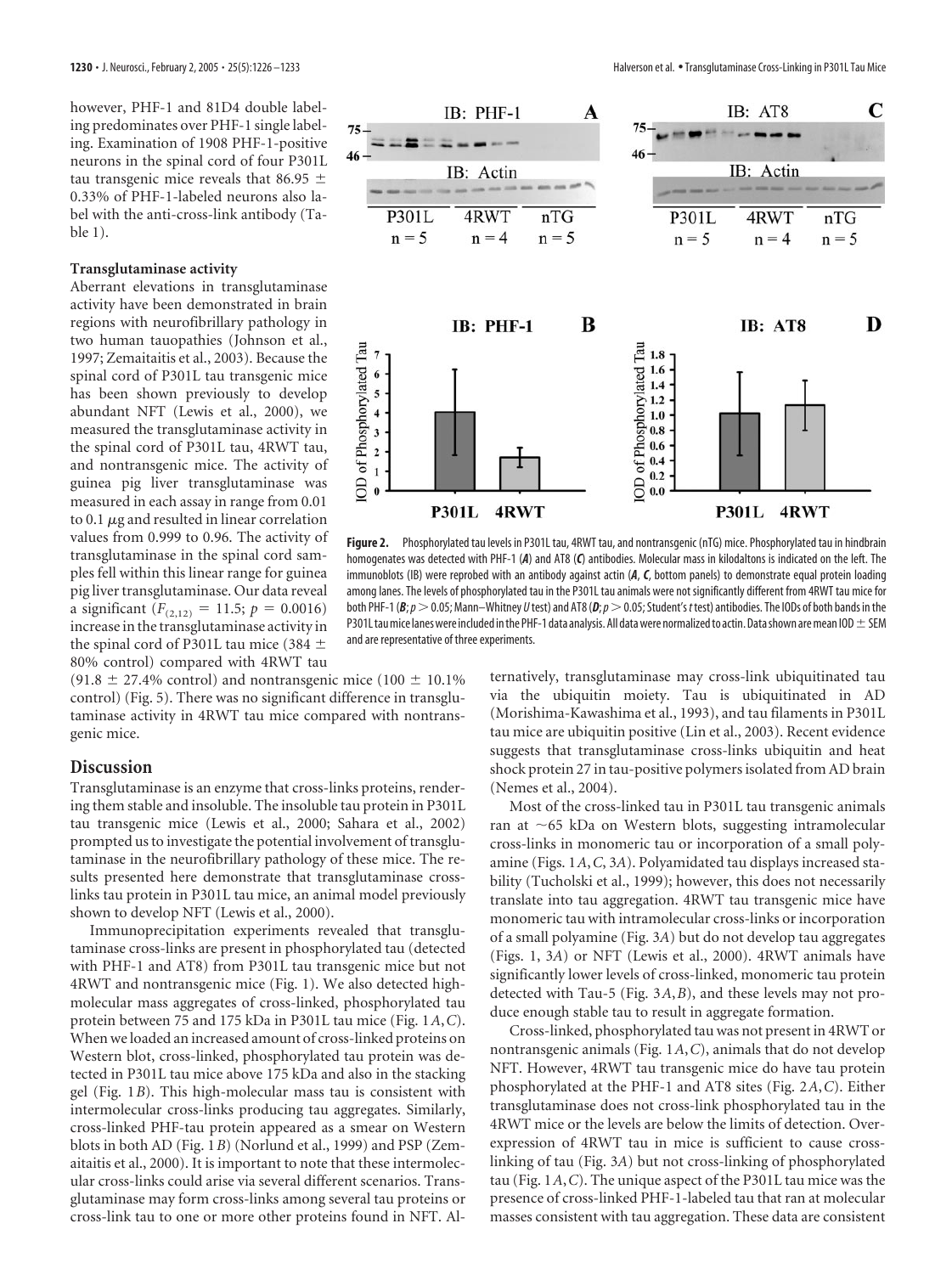however, PHF-1 and 81D4 double labeling predominates over PHF-1 single labeling. Examination of 1908 PHF-1-positive neurons in the spinal cord of four P301L tau transgenic mice reveals that 86.95  $\pm$ 0.33% of PHF-1-labeled neurons also label with the anti-cross-link antibody (Table 1).

## **Transglutaminase activity**

Aberrant elevations in transglutaminase activity have been demonstrated in brain regions with neurofibrillary pathology in two human tauopathies (Johnson et al., 1997; Zemaitaitis et al., 2003). Because the spinal cord of P301L tau transgenic mice has been shown previously to develop abundant NFT (Lewis et al., 2000), we measured the transglutaminase activity in the spinal cord of P301L tau, 4RWT tau, and nontransgenic mice. The activity of guinea pig liver transglutaminase was measured in each assay in range from 0.01 to 0.1  $\mu$ g and resulted in linear correlation values from 0.999 to 0.96. The activity of transglutaminase in the spinal cord samples fell within this linear range for guinea pig liver transglutaminase. Our data reveal a significant  $(F_{(2,12)} = 11.5; p = 0.0016)$ increase in the transglutaminase activity in the spinal cord of P301L tau mice (384  $\pm$ 80% control) compared with 4RWT tau

(91.8  $\pm$  27.4% control) and nontransgenic mice (100  $\pm$  10.1%) control) (Fig. 5). There was no significant difference in transglutaminase activity in 4RWT tau mice compared with nontransgenic mice.

# **Discussion**

Transglutaminase is an enzyme that cross-links proteins, rendering them stable and insoluble. The insoluble tau protein in P301L tau transgenic mice (Lewis et al., 2000; Sahara et al., 2002) prompted us to investigate the potential involvement of transglutaminase in the neurofibrillary pathology of these mice. The results presented here demonstrate that transglutaminase crosslinks tau protein in P301L tau mice, an animal model previously shown to develop NFT (Lewis et al., 2000).

Immunoprecipitation experiments revealed that transglutaminase cross-links are present in phosphorylated tau (detected with PHF-1 and AT8) from P301L tau transgenic mice but not 4RWT and nontransgenic mice (Fig. 1). We also detected highmolecular mass aggregates of cross-linked, phosphorylated tau protein between 75 and 175 kDa in P301L tau mice (Fig. 1*A*,*C*). When we loaded an increased amount of cross-linked proteins on Western blot, cross-linked, phosphorylated tau protein was detected in P301L tau mice above 175 kDa and also in the stacking gel (Fig. 1*B*). This high-molecular mass tau is consistent with intermolecular cross-links producing tau aggregates. Similarly, cross-linked PHF-tau protein appeared as a smear on Western blots in both AD (Fig. 1*B*) (Norlund et al., 1999) and PSP (Zemaitaitis et al., 2000). It is important to note that these intermolecular cross-links could arise via several different scenarios. Transglutaminase may form cross-links among several tau proteins or cross-link tau to one or more other proteins found in NFT. Al-



**Figure 2.** Phosphorylated tau levels in P301L tau, 4RWT tau, and nontransgenic (nTG) mice. Phosphorylated tau in hindbrain homogenates was detected with PHF-1 (*A*) and AT8 (*C*) antibodies. Molecular mass in kilodaltons is indicated on the left. The immunoblots (IB) were reprobed with an antibody against actin (*A*, *C*, bottom panels) to demonstrate equal protein loading among lanes. The levels of phosphorylated tau in the P301L tau animals were not significantly different from 4RWT tau mice for both PHF-1 ( $B$ ;  $p > 0.05$ ; Mann–Whitney *U* test) and AT8 ( $D$ ;  $p > 0.05$ ; Student's *t* test) antibodies. The IODs of both bands in the P301L tau mice lanes were included in the PHF-1 data analysis. All data were normalized to actin. Data shown are mean IOD  $\pm$  SEM and are representative of three experiments.

ternatively, transglutaminase may cross-link ubiquitinated tau via the ubiquitin moiety. Tau is ubiquitinated in AD (Morishima-Kawashima et al., 1993), and tau filaments in P301L tau mice are ubiquitin positive (Lin et al., 2003). Recent evidence suggests that transglutaminase cross-links ubiquitin and heat shock protein 27 in tau-positive polymers isolated from AD brain (Nemes et al., 2004).

Most of the cross-linked tau in P301L tau transgenic animals ran at  $\sim$  65 kDa on Western blots, suggesting intramolecular cross-links in monomeric tau or incorporation of a small polyamine (Figs. 1*A*,*C*, 3*A*). Polyamidated tau displays increased stability (Tucholski et al., 1999); however, this does not necessarily translate into tau aggregation. 4RWT tau transgenic mice have monomeric tau with intramolecular cross-links or incorporation of a small polyamine (Fig. 3*A*) but do not develop tau aggregates (Figs. 1, 3*A*) or NFT (Lewis et al., 2000). 4RWT animals have significantly lower levels of cross-linked, monomeric tau protein detected with Tau-5 (Fig. 3*A*,*B*), and these levels may not produce enough stable tau to result in aggregate formation.

Cross-linked, phosphorylated tau was not present in 4RWT or nontransgenic animals (Fig. 1*A*,*C*), animals that do not develop NFT. However, 4RWT tau transgenic mice do have tau protein phosphorylated at the PHF-1 and AT8 sites (Fig. 2*A*,*C*). Either transglutaminase does not cross-link phosphorylated tau in the 4RWT mice or the levels are below the limits of detection. Overexpression of 4RWT tau in mice is sufficient to cause crosslinking of tau (Fig. 3*A*) but not cross-linking of phosphorylated tau (Fig. 1*A*,*C*). The unique aspect of the P301L tau mice was the presence of cross-linked PHF-1-labeled tau that ran at molecular masses consistent with tau aggregation. These data are consistent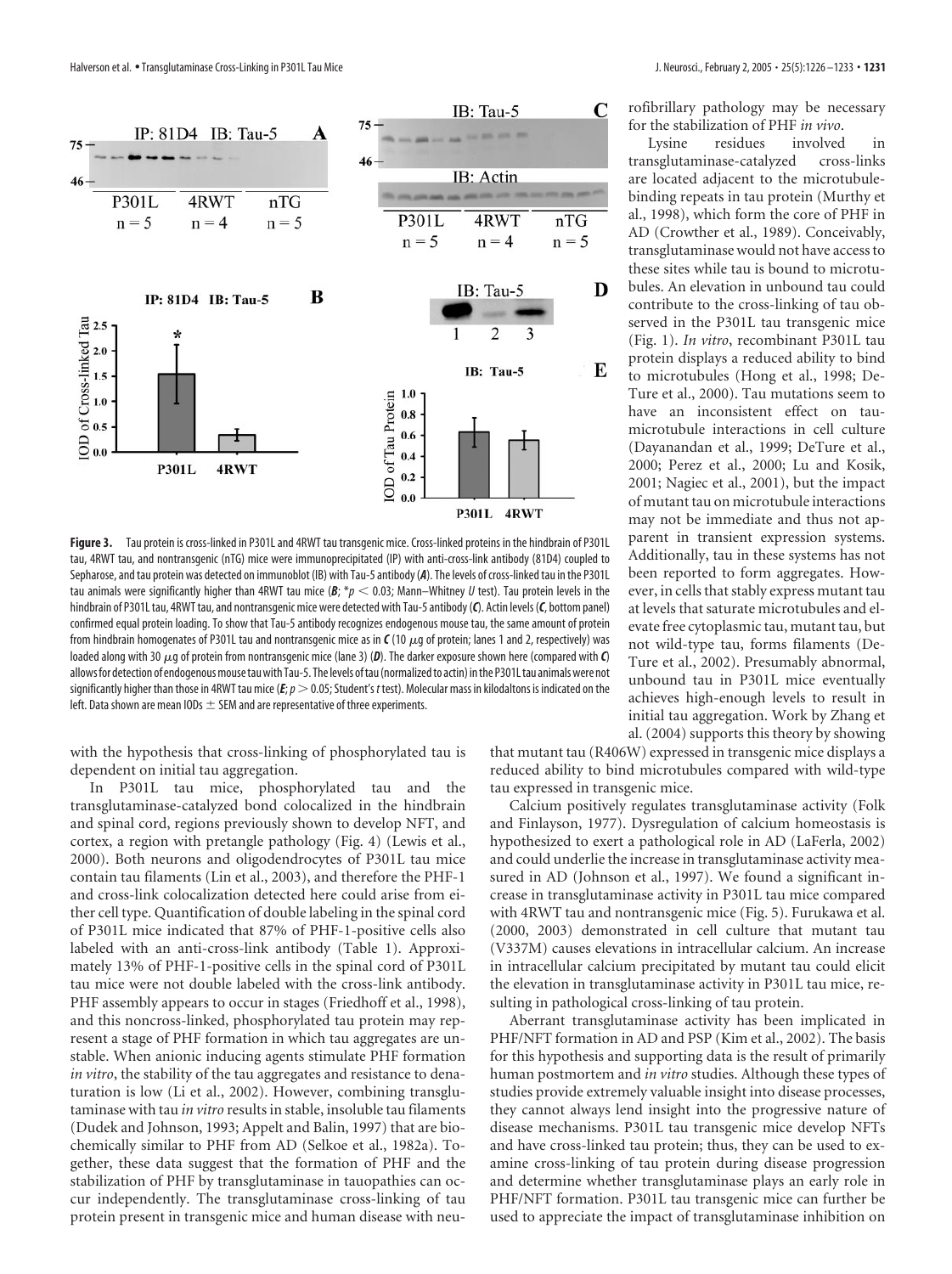

**Figure 3.** Tau protein is cross-linked in P301L and 4RWT tau transgenic mice. Cross-linked proteins in the hindbrain of P301L tau, 4RWT tau, and nontransgenic (nTG) mice were immunoprecipitated (IP) with anti-cross-link antibody (81D4) coupled to Sepharose, and tau protein was detected on immunoblot (IB) with Tau-5 antibody (*A*). The levels of cross-linked tau in the P301L tau animals were significantly higher than 4RWT tau mice ( $B$ ;  $*\rho$  < 0.03; Mann–Whitney *U* test). Tau protein levels in the hindbrain of P301L tau, 4RWT tau, and nontransgenic mice were detected with Tau-5 antibody (*C*). Actin levels (*C*, bottom panel) confirmed equal protein loading. To show that Tau-5 antibody recognizes endogenous mouse tau, the same amount of protein from hindbrain homogenates of P301L tau and nontransgenic mice as in  $C(10 \mu g)$  of protein; lanes 1 and 2, respectively) was loaded along with 30  $\mu$ g of protein from nontransgenic mice (lane 3) (D). The darker exposure shown here (compared with  $\bm{C}$ ) allows for detection of endogenous mouse tau with Tau-5. The levels of tau (normalized to actin) in the P301L tau animals were not significantly higher than those in 4RWT tau mice (*E*;  $p > 0.05$ ; Student's *t* test). Molecular mass in kilodaltons is indicated on the left. Data shown are mean IODs  $\pm$  SEM and are representative of three experiments.

with the hypothesis that cross-linking of phosphorylated tau is dependent on initial tau aggregation.

In P301L tau mice, phosphorylated tau and the transglutaminase-catalyzed bond colocalized in the hindbrain and spinal cord, regions previously shown to develop NFT, and cortex, a region with pretangle pathology (Fig. 4) (Lewis et al., 2000). Both neurons and oligodendrocytes of P301L tau mice contain tau filaments (Lin et al., 2003), and therefore the PHF-1 and cross-link colocalization detected here could arise from either cell type. Quantification of double labeling in the spinal cord of P301L mice indicated that 87% of PHF-1-positive cells also labeled with an anti-cross-link antibody (Table 1). Approximately 13% of PHF-1-positive cells in the spinal cord of P301L tau mice were not double labeled with the cross-link antibody. PHF assembly appears to occur in stages (Friedhoff et al., 1998), and this noncross-linked, phosphorylated tau protein may represent a stage of PHF formation in which tau aggregates are unstable. When anionic inducing agents stimulate PHF formation *in vitro*, the stability of the tau aggregates and resistance to denaturation is low (Li et al., 2002). However, combining transglutaminase with tau *in vitro* results in stable, insoluble tau filaments (Dudek and Johnson, 1993; Appelt and Balin, 1997) that are biochemically similar to PHF from AD (Selkoe et al., 1982a). Together, these data suggest that the formation of PHF and the stabilization of PHF by transglutaminase in tauopathies can occur independently. The transglutaminase cross-linking of tau protein present in transgenic mice and human disease with neurofibrillary pathology may be necessary for the stabilization of PHF *in vivo*.

Lysine residues involved in transglutaminase-catalyzed cross-links are located adjacent to the microtubulebinding repeats in tau protein (Murthy et al., 1998), which form the core of PHF in AD (Crowther et al., 1989). Conceivably, transglutaminase would not have access to these sites while tau is bound to microtubules. An elevation in unbound tau could contribute to the cross-linking of tau observed in the P301L tau transgenic mice (Fig. 1). *In vitro*, recombinant P301L tau protein displays a reduced ability to bind to microtubules (Hong et al., 1998; De-Ture et al., 2000). Tau mutations seem to have an inconsistent effect on taumicrotubule interactions in cell culture (Dayanandan et al., 1999; DeTure et al., 2000; Perez et al., 2000; Lu and Kosik, 2001; Nagiec et al., 2001), but the impact of mutant tau on microtubule interactions may not be immediate and thus not apparent in transient expression systems. Additionally, tau in these systems has not been reported to form aggregates. However, in cells that stably express mutant tau at levels that saturate microtubules and elevate free cytoplasmic tau, mutant tau, but not wild-type tau, forms filaments (De-Ture et al., 2002). Presumably abnormal, unbound tau in P301L mice eventually achieves high-enough levels to result in initial tau aggregation. Work by Zhang et al. (2004) supports this theory by showing

that mutant tau (R406W) expressed in transgenic mice displays a reduced ability to bind microtubules compared with wild-type tau expressed in transgenic mice.

Calcium positively regulates transglutaminase activity (Folk and Finlayson, 1977). Dysregulation of calcium homeostasis is hypothesized to exert a pathological role in AD (LaFerla, 2002) and could underlie the increase in transglutaminase activity measured in AD (Johnson et al., 1997). We found a significant increase in transglutaminase activity in P301L tau mice compared with 4RWT tau and nontransgenic mice (Fig. 5). Furukawa et al. (2000, 2003) demonstrated in cell culture that mutant tau (V337M) causes elevations in intracellular calcium. An increase in intracellular calcium precipitated by mutant tau could elicit the elevation in transglutaminase activity in P301L tau mice, resulting in pathological cross-linking of tau protein.

Aberrant transglutaminase activity has been implicated in PHF/NFT formation in AD and PSP (Kim et al., 2002). The basis for this hypothesis and supporting data is the result of primarily human postmortem and *in vitro* studies. Although these types of studies provide extremely valuable insight into disease processes, they cannot always lend insight into the progressive nature of disease mechanisms. P301L tau transgenic mice develop NFTs and have cross-linked tau protein; thus, they can be used to examine cross-linking of tau protein during disease progression and determine whether transglutaminase plays an early role in PHF/NFT formation. P301L tau transgenic mice can further be used to appreciate the impact of transglutaminase inhibition on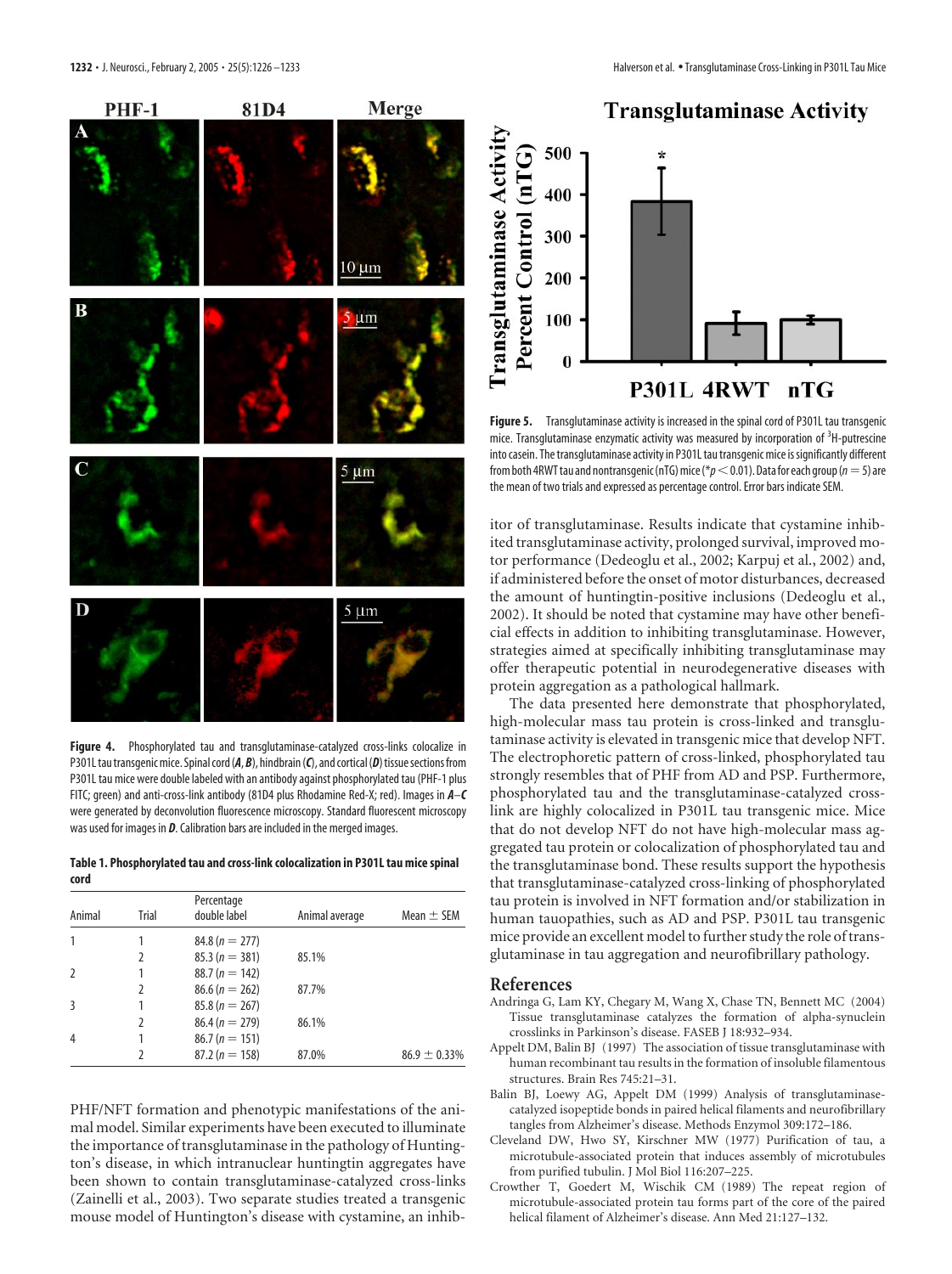

**Figure 4.** Phosphorylated tau and transglutaminase-catalyzed cross-links colocalize in P301L tau transgenic mice. Spinal cord (A, B), hindbrain (C), and cortical (D) tissue sections from P301L tau mice were double labeled with an antibody against phosphorylated tau (PHF-1 plus FITC; green) and anti-cross-link antibody (81D4 plus Rhodamine Red-X; red). Images in *A*–*C* were generated by deconvolution fluorescence microscopy. Standard fluorescent microscopy was used for images in *D*. Calibration bars are included in the merged images.

**Table 1. Phosphorylated tau and cross-link colocalization in P301L tau mice spinal cord**

| Animal         | Trial | Percentage<br>double label | Animal average | Mean $\pm$ SEM    |
|----------------|-------|----------------------------|----------------|-------------------|
| 1              |       | $84.8(n = 277)$            |                |                   |
|                |       | $85.3(n = 381)$            | 85.1%          |                   |
| $\overline{2}$ |       | $88.7(n = 142)$            |                |                   |
|                |       | $86.6 (n = 262)$           | 87.7%          |                   |
| 3              |       | $85.8(n = 267)$            |                |                   |
|                |       | $86.4 (n = 279)$           | 86.1%          |                   |
| $\overline{4}$ |       | $86.7 (n = 151)$           |                |                   |
|                |       | $87.2(n = 158)$            | 87.0%          | $86.9 \pm 0.33\%$ |

PHF/NFT formation and phenotypic manifestations of the animal model. Similar experiments have been executed to illuminate the importance of transglutaminase in the pathology of Huntington's disease, in which intranuclear huntingtin aggregates have been shown to contain transglutaminase-catalyzed cross-links (Zainelli et al., 2003). Two separate studies treated a transgenic mouse model of Huntington's disease with cystamine, an inhib-





**Figure 5.** Transglutaminase activity is increased in the spinal cord of P301L tau transgenic mice. Transglutaminase enzymatic activity was measured by incorporation of <sup>3</sup>H-putrescine into casein. The transglutaminase activity in P301L tau transgenic mice is significantly different from both 4RWT tau and nontransgenic (nTG) mice ( $p<$  0.01). Data for each group ( $n=5$ ) are the mean of two trials and expressed as percentage control. Error bars indicate SEM.

itor of transglutaminase. Results indicate that cystamine inhibited transglutaminase activity, prolonged survival, improved motor performance (Dedeoglu et al., 2002; Karpuj et al., 2002) and, if administered before the onset of motor disturbances, decreased the amount of huntingtin-positive inclusions (Dedeoglu et al., 2002). It should be noted that cystamine may have other beneficial effects in addition to inhibiting transglutaminase. However, strategies aimed at specifically inhibiting transglutaminase may offer therapeutic potential in neurodegenerative diseases with protein aggregation as a pathological hallmark.

The data presented here demonstrate that phosphorylated, high-molecular mass tau protein is cross-linked and transglutaminase activity is elevated in transgenic mice that develop NFT. The electrophoretic pattern of cross-linked, phosphorylated tau strongly resembles that of PHF from AD and PSP. Furthermore, phosphorylated tau and the transglutaminase-catalyzed crosslink are highly colocalized in P301L tau transgenic mice. Mice that do not develop NFT do not have high-molecular mass aggregated tau protein or colocalization of phosphorylated tau and the transglutaminase bond. These results support the hypothesis that transglutaminase-catalyzed cross-linking of phosphorylated tau protein is involved in NFT formation and/or stabilization in human tauopathies, such as AD and PSP. P301L tau transgenic mice provide an excellent model to further study the role of transglutaminase in tau aggregation and neurofibrillary pathology.

#### **References**

- Andringa G, Lam KY, Chegary M, Wang X, Chase TN, Bennett MC (2004) Tissue transglutaminase catalyzes the formation of alpha-synuclein crosslinks in Parkinson's disease. FASEB J 18:932–934.
- Appelt DM, Balin BJ (1997) The association of tissue transglutaminase with human recombinant tau results in the formation of insoluble filamentous structures. Brain Res 745:21–31.
- Balin BJ, Loewy AG, Appelt DM (1999) Analysis of transglutaminasecatalyzed isopeptide bonds in paired helical filaments and neurofibrillary tangles from Alzheimer's disease. Methods Enzymol 309:172–186.
- Cleveland DW, Hwo SY, Kirschner MW (1977) Purification of tau, a microtubule-associated protein that induces assembly of microtubules from purified tubulin. J Mol Biol 116:207–225.
- Crowther T, Goedert M, Wischik CM (1989) The repeat region of microtubule-associated protein tau forms part of the core of the paired helical filament of Alzheimer's disease. Ann Med 21:127–132.